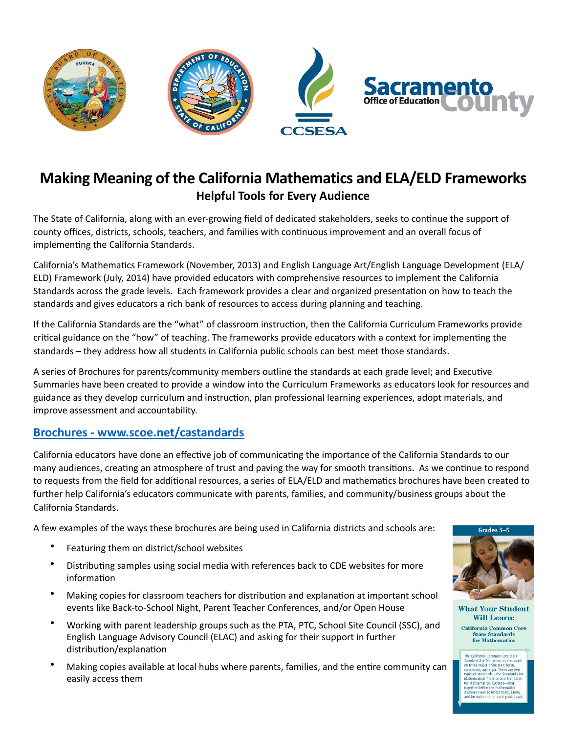

## **Making Meaning of the California Mathematics and ELA/ELD Frameworks Helpful Tools for Every Audience**

The State of California, along with an ever-growing field of dedicated stakeholders, seeks to continue the support of county offices, districts, schools, teachers, and families with continuous improvement and an overall focus of implementing the California Standards.

California's Mathematics Framework (November, 2013) and English Language Art/English Language Development (ELA/ ELD) Framework (July, 2014) have provided educators with comprehensive resources to implement the California Standards across the grade levels. Each framework provides a clear and organized presentation on how to teach the standards and gives educators a rich bank of resources to access during planning and teaching.

If the California Standards are the "what" of classroom instruction, then the California Curriculum Frameworks provide critical guidance on the "how" of teaching. The frameworks provide educators with a context for implementing the standards – they address how all students in California public schools can best meet those standards.

A series of Brochures for parents/community members outline the standards at each grade level; and Executive Summaries have been created to provide a window into the Curriculum Frameworks as educators look for resources and guidance as they develop curriculum and instruction, plan professional learning experiences, adopt materials, and improve assessment and accountability.

## **Brochures - www.[scoe](http://www.scoe.net/castandards/Pages/default.aspx).net/castandards**

California educators have done an effective job of communicating the importance of the California Standards to our many audiences, creating an atmosphere of trust and paving the way for smooth transitions. As we continue to respond to requests from the field for additional resources, a series of ELA/ELD and mathematics brochures have been created to further help California's educators communicate with parents, families, and community/business groups about the California Standards. 

A few examples of the ways these brochures are being used in California districts and schools are:

- Featuring them on district/school websites
- Distributing samples using social media with references back to CDE websites for more information
- Making copies for classroom teachers for distribution and explanation at important school events like Back-to-School Night, Parent Teacher Conferences, and/or Open House
- Working with parent leadership groups such as the PTA, PTC, School Site Council (SSC), and English Language Advisory Council (ELAC) and asking for their support in further distribution/explanation
- Making copies available at local hubs where parents, families, and the entire community can easily access them



**What Your Student Will Learn:** California Common Core **State Standards** 

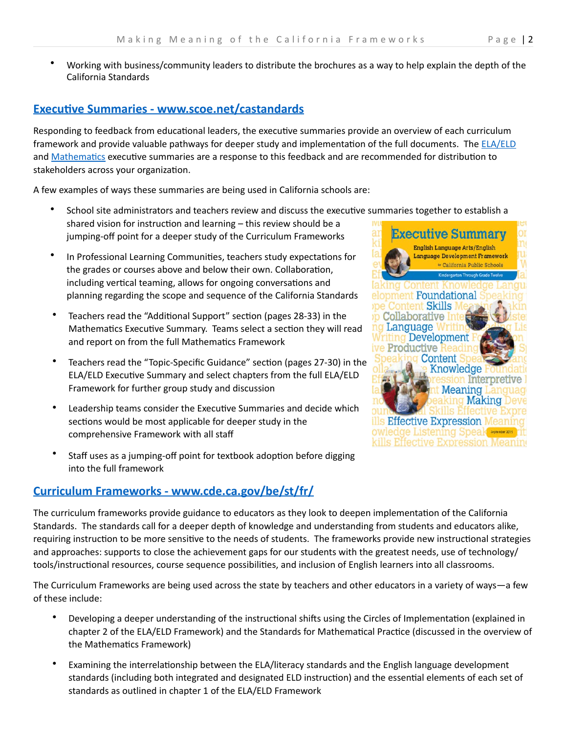Working with business/community leaders to distribute the brochures as a way to help explain the depth of the California Standards 

## **Executive Summaries - www.scoe.net/castandards**

Responding to feedback from educational leaders, the executive summaries provide an overview of each curriculum framework and provide valuable pathways for deeper study and implementation of the full documents. The [ELA/ELD](http://www.scoe.net/castandards/Documents/summary_ela-eld_framework.pdf) and Mathematics executive summaries are a response to this feedback and are recommended for distribution to stakeholders across your organization.

A few examples of ways these summaries are being used in California schools are:

- School site administrators and teachers review and discuss the executive summaries together to establish a shared vision for instruction and learning  $-$  this review should be a jumping-off point for a deeper study of the Curriculum Frameworks
- In Professional Learning Communities, teachers study expectations for the grades or courses above and below their own. Collaboration, including vertical teaming, allows for ongoing conversations and planning regarding the scope and sequence of the California Standards
- Teachers read the "Additional Support" section (pages 28-33) in the Mathematics Executive Summary. Teams select a section they will read and report on from the full Mathematics Framework
- Teachers read the "Topic-Specific Guidance" section (pages 27-30) in the ELA/ELD Executive Summary and select chapters from the full ELA/ELD Framework for further group study and discussion
- Leadership teams consider the Executive Summaries and decide which sections would be most applicable for deeper study in the comprehensive Framework with all staff
- Staff uses as a jumping-off point for textbook adoption before digging into the full framework

## **[Curriculum Frameworks](http://www.cde.ca.gov/ci/cr/cf/allfwks.asp) - www.cde.ca.gov/be/st/fr/**



The Curriculum Frameworks are being used across the state by teachers and other educators in a variety of ways—a few of these include:

- Developing a deeper understanding of the instructional shifts using the Circles of Implementation (explained in chapter 2 of the ELA/ELD Framework) and the Standards for Mathematical Practice (discussed in the overview of the Mathematics Framework)
- Examining the interrelationship between the ELA/literacy standards and the English language development standards (including both integrated and designated ELD instruction) and the essential elements of each set of standards as outlined in chapter 1 of the ELA/ELD Framework